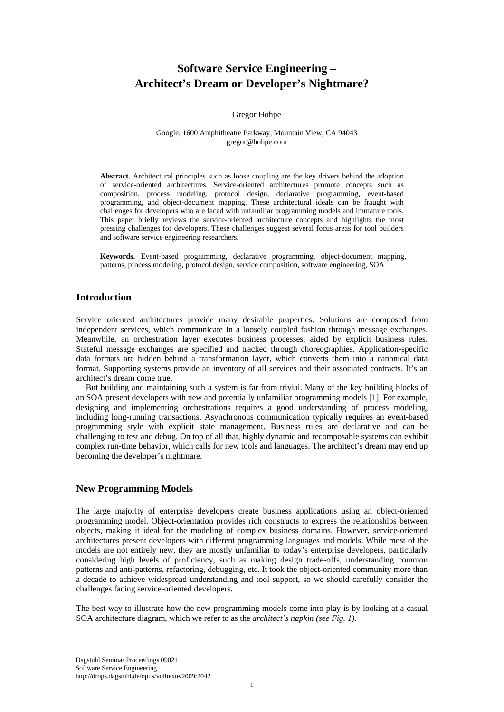# **Software Service Engineering – Architect's Dream or Developer's Nightmare?**

#### Gregor Hohpe

#### Google, 1600 Amphitheatre Parkway, Mountain View, CA 94043 gregor@hohpe.com

**Abstract.** Architectural principles such as loose coupling are the key drivers behind the adoption of service-oriented architectures. Service-oriented architectures promote concepts such as composition, process modeling, protocol design, declarative programming, event-based programming, and object-document mapping. These architectural ideals can be fraught with challenges for developers who are faced with unfamiliar programming models and immature tools. This paper briefly reviews the service-oriented architecture concepts and highlights the most pressing challenges for developers. These challenges suggest several focus areas for tool builders and software service engineering researchers.

**Keywords.** Event-based programming, declarative programming, object-document mapping, patterns, process modeling, protocol design, service composition, software engineering, SOA

### **Introduction**

Service oriented architectures provide many desirable properties. Solutions are composed from independent services, which communicate in a loosely coupled fashion through message exchanges. Meanwhile, an orchestration layer executes business processes, aided by explicit business rules. Stateful message exchanges are specified and tracked through choreographies. Application-specific data formats are hidden behind a transformation layer, which converts them into a canonical data format. Supporting systems provide an inventory of all services and their associated contracts. It's an architect's dream come true.

But building and maintaining such a system is far from trivial. Many of the key building blocks of an SOA present developers with new and potentially unfamiliar programming models [1]. For example, designing and implementing orchestrations requires a good understanding of process modeling, including long-running transactions. Asynchronous communication typically requires an event-based programming style with explicit state management. Business rules are declarative and can be challenging to test and debug. On top of all that, highly dynamic and recomposable systems can exhibit complex run-time behavior, which calls for new tools and languages. The architect's dream may end up becoming the developer's nightmare.

## **New Programming Models**

The large majority of enterprise developers create business applications using an object-oriented programming model. Object-orientation provides rich constructs to express the relationships between objects, making it ideal for the modeling of complex business domains. However, service-oriented architectures present developers with different programming languages and models. While most of the models are not entirely new, they are mostly unfamiliar to today's enterprise developers, particularly considering high levels of proficiency, such as making design trade-offs, understanding common patterns and anti-patterns, refactoring, debugging, etc. It took the object-oriented community more than a decade to achieve widespread understanding and tool support, so we should carefully consider the challenges facing service-oriented developers.

The best way to illustrate how the new programming models come into play is by looking at a casual SOA architecture diagram, which we refer to as the *architect's napkin (see Fig. 1)*.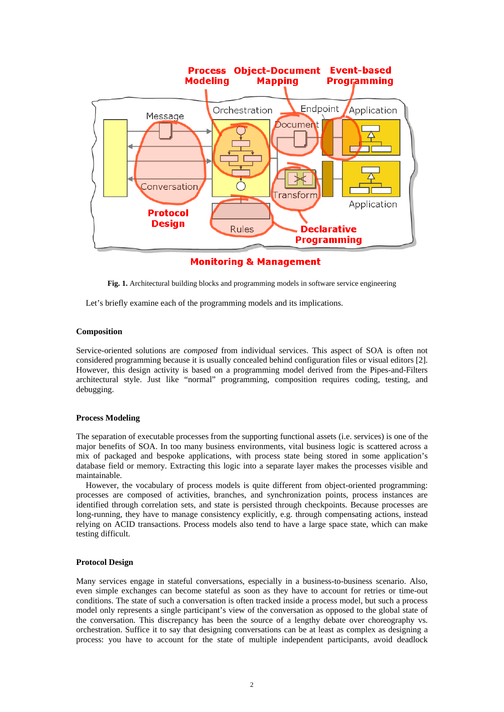

**Monitoring & Management** 

**Fig. 1.** Architectural building blocks and programming models in software service engineering

Let's briefly examine each of the programming models and its implications.

#### **Composition**

Service-oriented solutions are *composed* from individual services. This aspect of SOA is often not considered programming because it is usually concealed behind configuration files or visual editors [2]. However, this design activity is based on a programming model derived from the Pipes-and-Filters architectural style. Just like "normal" programming, composition requires coding, testing, and debugging.

#### **Process Modeling**

The separation of executable processes from the supporting functional assets (i.e. services) is one of the major benefits of SOA. In too many business environments, vital business logic is scattered across a mix of packaged and bespoke applications, with process state being stored in some application's database field or memory. Extracting this logic into a separate layer makes the processes visible and maintainable.

However, the vocabulary of process models is quite different from object-oriented programming: processes are composed of activities, branches, and synchronization points, process instances are identified through correlation sets, and state is persisted through checkpoints. Because processes are long-running, they have to manage consistency explicitly, e.g. through compensating actions, instead relying on ACID transactions. Process models also tend to have a large space state, which can make testing difficult.

#### **Protocol Design**

Many services engage in stateful conversations, especially in a business-to-business scenario. Also, even simple exchanges can become stateful as soon as they have to account for retries or time-out conditions. The state of such a conversation is often tracked inside a process model, but such a process model only represents a single participant's view of the conversation as opposed to the global state of the conversation. This discrepancy has been the source of a lengthy debate over choreography vs. orchestration. Suffice it to say that designing conversations can be at least as complex as designing a process: you have to account for the state of multiple independent participants, avoid deadlock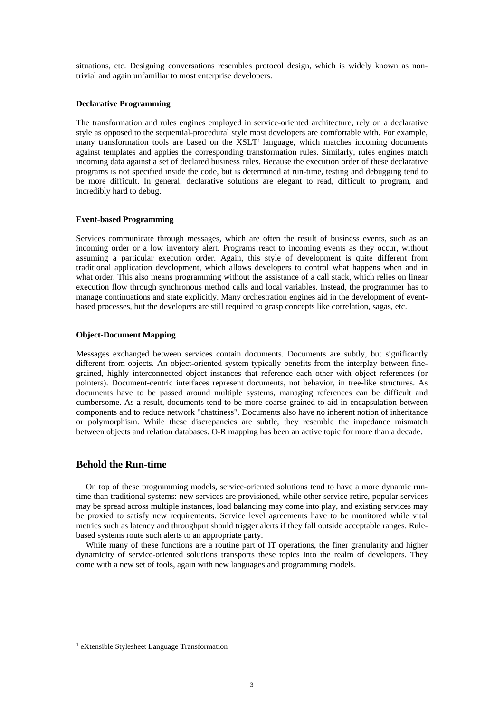situations, etc. Designing conversations resembles protocol design, which is widely known as nontrivial and again unfamiliar to most enterprise developers.

#### **Declarative Programming**

The transformation and rules engines employed in service-oriented architecture, rely on a declarative style as opposed to the sequential-procedural style most developers are comfortable with. For example, many transformation tools are based on the XSLT<sup>1</sup> language, which matches incoming documents against templates and applies the corresponding transformation rules. Similarly, rules engines match incoming data against a set of declared business rules. Because the execution order of these declarative programs is not specified inside the code, but is determined at run-time, testing and debugging tend to be more difficult. In general, declarative solutions are elegant to read, difficult to program, and incredibly hard to debug.

#### **Event-based Programming**

Services communicate through messages, which are often the result of business events, such as an incoming order or a low inventory alert. Programs react to incoming events as they occur, without assuming a particular execution order. Again, this style of development is quite different from traditional application development, which allows developers to control what happens when and in what order. This also means programming without the assistance of a call stack, which relies on linear execution flow through synchronous method calls and local variables. Instead, the programmer has to manage continuations and state explicitly. Many orchestration engines aid in the development of eventbased processes, but the developers are still required to grasp concepts like correlation, sagas, etc.

#### **Object-Document Mapping**

Messages exchanged between services contain documents. Documents are subtly, but significantly different from objects. An object-oriented system typically benefits from the interplay between finegrained, highly interconnected object instances that reference each other with object references (or pointers). Document-centric interfaces represent documents, not behavior, in tree-like structures. As documents have to be passed around multiple systems, managing references can be difficult and cumbersome. As a result, documents tend to be more coarse-grained to aid in encapsulation between components and to reduce network "chattiness". Documents also have no inherent notion of inheritance or polymorphism. While these discrepancies are subtle, they resemble the impedance mismatch between objects and relation databases. O-R mapping has been an active topic for more than a decade.

### **Behold the Run-time**

On top of these programming models, service-oriented solutions tend to have a more dynamic runtime than traditional systems: new services are provisioned, while other service retire, popular services may be spread across multiple instances, load balancing may come into play, and existing services may be proxied to satisfy new requirements. Service level agreements have to be monitored while vital metrics such as latency and throughput should trigger alerts if they fall outside acceptable ranges. Rulebased systems route such alerts to an appropriate party.

While many of these functions are a routine part of IT operations, the finer granularity and higher dynamicity of service-oriented solutions transports these topics into the realm of developers. They come with a new set of tools, again with new languages and programming models.

 <sup>1</sup> eXtensible Stylesheet Language Transformation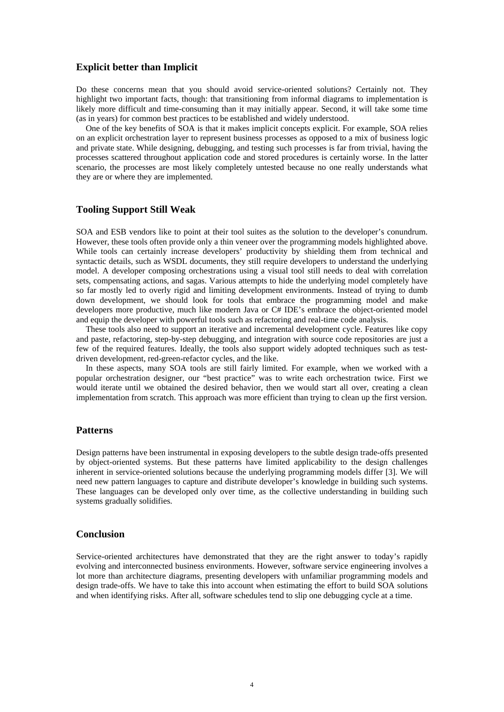### **Explicit better than Implicit**

Do these concerns mean that you should avoid service-oriented solutions? Certainly not. They highlight two important facts, though: that transitioning from informal diagrams to implementation is likely more difficult and time-consuming than it may initially appear. Second, it will take some time (as in years) for common best practices to be established and widely understood.

One of the key benefits of SOA is that it makes implicit concepts explicit. For example, SOA relies on an explicit orchestration layer to represent business processes as opposed to a mix of business logic and private state. While designing, debugging, and testing such processes is far from trivial, having the processes scattered throughout application code and stored procedures is certainly worse. In the latter scenario, the processes are most likely completely untested because no one really understands what they are or where they are implemented.

### **Tooling Support Still Weak**

SOA and ESB vendors like to point at their tool suites as the solution to the developer's conundrum. However, these tools often provide only a thin veneer over the programming models highlighted above. While tools can certainly increase developers' productivity by shielding them from technical and syntactic details, such as WSDL documents, they still require developers to understand the underlying model. A developer composing orchestrations using a visual tool still needs to deal with correlation sets, compensating actions, and sagas. Various attempts to hide the underlying model completely have so far mostly led to overly rigid and limiting development environments. Instead of trying to dumb down development, we should look for tools that embrace the programming model and make developers more productive, much like modern Java or C# IDE's embrace the object-oriented model and equip the developer with powerful tools such as refactoring and real-time code analysis.

These tools also need to support an iterative and incremental development cycle. Features like copy and paste, refactoring, step-by-step debugging, and integration with source code repositories are just a few of the required features. Ideally, the tools also support widely adopted techniques such as testdriven development, red-green-refactor cycles, and the like.

In these aspects, many SOA tools are still fairly limited. For example, when we worked with a popular orchestration designer, our "best practice" was to write each orchestration twice. First we would iterate until we obtained the desired behavior, then we would start all over, creating a clean implementation from scratch. This approach was more efficient than trying to clean up the first version.

### **Patterns**

Design patterns have been instrumental in exposing developers to the subtle design trade-offs presented by object-oriented systems. But these patterns have limited applicability to the design challenges inherent in service-oriented solutions because the underlying programming models differ [3]. We will need new pattern languages to capture and distribute developer's knowledge in building such systems. These languages can be developed only over time, as the collective understanding in building such systems gradually solidifies.

### **Conclusion**

Service-oriented architectures have demonstrated that they are the right answer to today's rapidly evolving and interconnected business environments. However, software service engineering involves a lot more than architecture diagrams, presenting developers with unfamiliar programming models and design trade-offs. We have to take this into account when estimating the effort to build SOA solutions and when identifying risks. After all, software schedules tend to slip one debugging cycle at a time.